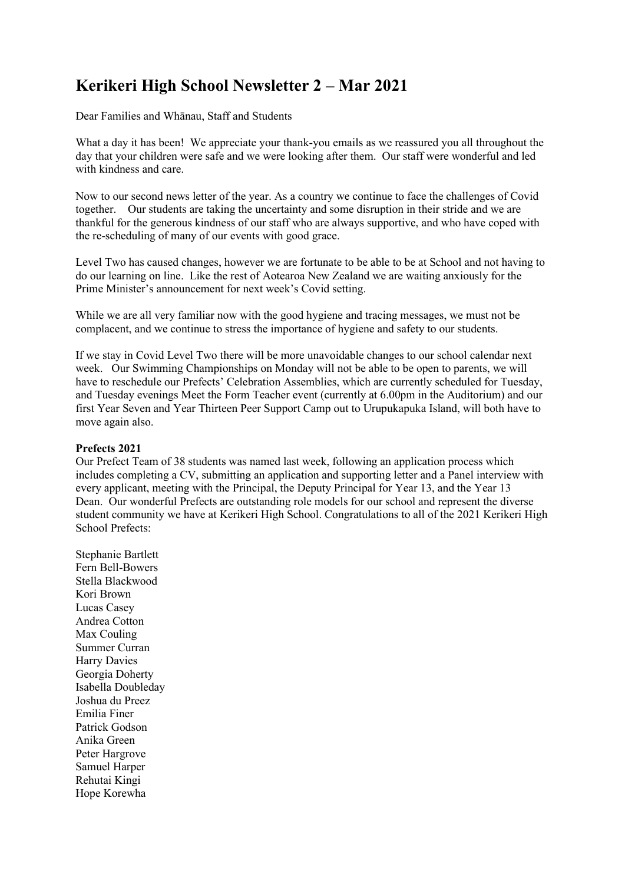# **Kerikeri High School Newsletter 2 – Mar 2021**

Dear Families and Whānau, Staff and Students

What a day it has been! We appreciate your thank-you emails as we reassured you all throughout the day that your children were safe and we were looking after them. Our staff were wonderful and led with kindness and care.

Now to our second news letter of the year. As a country we continue to face the challenges of Covid together. Our students are taking the uncertainty and some disruption in their stride and we are thankful for the generous kindness of our staff who are always supportive, and who have coped with the re-scheduling of many of our events with good grace.

Level Two has caused changes, however we are fortunate to be able to be at School and not having to do our learning on line. Like the rest of Aotearoa New Zealand we are waiting anxiously for the Prime Minister's announcement for next week's Covid setting.

While we are all very familiar now with the good hygiene and tracing messages, we must not be complacent, and we continue to stress the importance of hygiene and safety to our students.

If we stay in Covid Level Two there will be more unavoidable changes to our school calendar next week. Our Swimming Championships on Monday will not be able to be open to parents, we will have to reschedule our Prefects' Celebration Assemblies, which are currently scheduled for Tuesday, and Tuesday evenings Meet the Form Teacher event (currently at 6.00pm in the Auditorium) and our first Year Seven and Year Thirteen Peer Support Camp out to Urupukapuka Island, will both have to move again also.

### **Prefects 2021**

Our Prefect Team of 38 students was named last week, following an application process which includes completing a CV, submitting an application and supporting letter and a Panel interview with every applicant, meeting with the Principal, the Deputy Principal for Year 13, and the Year 13 Dean. Our wonderful Prefects are outstanding role models for our school and represent the diverse student community we have at Kerikeri High School. Congratulations to all of the 2021 Kerikeri High School Prefects:

Stephanie Bartlett Fern Bell-Bowers Stella Blackwood Kori Brown Lucas Casey Andrea Cotton Max Couling Summer Curran Harry Davies Georgia Doherty Isabella Doubleday Joshua du Preez Emilia Finer Patrick Godson Anika Green Peter Hargrove Samuel Harper Rehutai Kingi Hope Korewha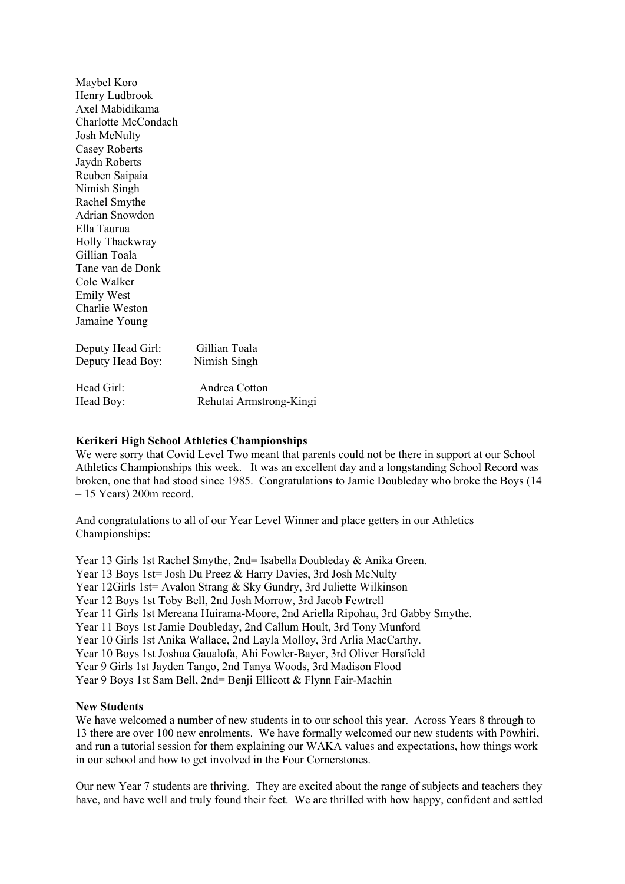Maybel Koro Henry Ludbrook Axel Mabidikama Charlotte McCondach Josh McNulty Casey Roberts Jaydn Roberts Reuben Saipaia Nimish Singh Rachel Smythe Adrian Snowdon Ella Taurua Holly Thackwray Gillian Toala Tane van de Donk Cole Walker Emily West Charlie Weston Jamaine Young

Deputy Head Girl: Gillian Toala Deputy Head Boy: Nimish Singh

Head Girl: Andrea Cotton Head Boy: Rehutai Armstrong-Kingi

#### **Kerikeri High School Athletics Championships**

We were sorry that Covid Level Two meant that parents could not be there in support at our School Athletics Championships this week. It was an excellent day and a longstanding School Record was broken, one that had stood since 1985. Congratulations to Jamie Doubleday who broke the Boys (14 – 15 Years) 200m record.

And congratulations to all of our Year Level Winner and place getters in our Athletics Championships:

Year 13 Girls 1st Rachel Smythe, 2nd= Isabella Doubleday & Anika Green. Year 13 Boys 1st= Josh Du Preez & Harry Davies, 3rd Josh McNulty Year 12Girls 1st= Avalon Strang & Sky Gundry, 3rd Juliette Wilkinson Year 12 Boys 1st Toby Bell, 2nd Josh Morrow, 3rd Jacob Fewtrell Year 11 Girls 1st Mereana Huirama-Moore, 2nd Ariella Ripohau, 3rd Gabby Smythe. Year 11 Boys 1st Jamie Doubleday, 2nd Callum Hoult, 3rd Tony Munford Year 10 Girls 1st Anika Wallace, 2nd Layla Molloy, 3rd Arlia MacCarthy. Year 10 Boys 1st Joshua Gaualofa, Ahi Fowler-Bayer, 3rd Oliver Horsfield Year 9 Girls 1st Jayden Tango, 2nd Tanya Woods, 3rd Madison Flood Year 9 Boys 1st Sam Bell, 2nd= Benji Ellicott & Flynn Fair-Machin

#### **New Students**

We have welcomed a number of new students in to our school this year. Across Years 8 through to 13 there are over 100 new enrolments. We have formally welcomed our new students with Pōwhiri, and run a tutorial session for them explaining our WAKA values and expectations, how things work in our school and how to get involved in the Four Cornerstones.

Our new Year 7 students are thriving. They are excited about the range of subjects and teachers they have, and have well and truly found their feet. We are thrilled with how happy, confident and settled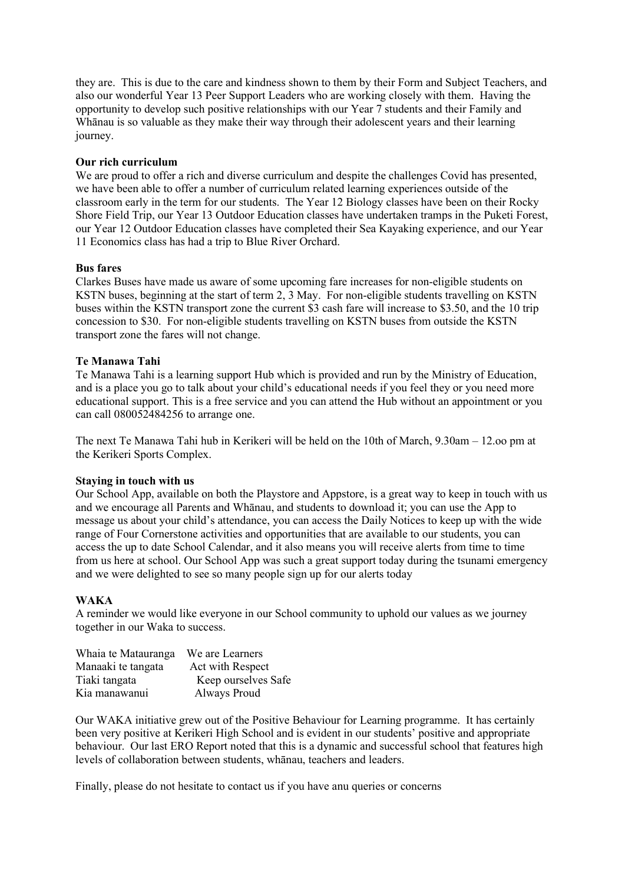they are. This is due to the care and kindness shown to them by their Form and Subject Teachers, and also our wonderful Year 13 Peer Support Leaders who are working closely with them. Having the opportunity to develop such positive relationships with our Year 7 students and their Family and Whanau is so valuable as they make their way through their adolescent years and their learning journey.

### **Our rich curriculum**

We are proud to offer a rich and diverse curriculum and despite the challenges Covid has presented, we have been able to offer a number of curriculum related learning experiences outside of the classroom early in the term for our students. The Year 12 Biology classes have been on their Rocky Shore Field Trip, our Year 13 Outdoor Education classes have undertaken tramps in the Puketi Forest, our Year 12 Outdoor Education classes have completed their Sea Kayaking experience, and our Year 11 Economics class has had a trip to Blue River Orchard.

# **Bus fares**

Clarkes Buses have made us aware of some upcoming fare increases for non-eligible students on KSTN buses, beginning at the start of term 2, 3 May. For non-eligible students travelling on KSTN buses within the KSTN transport zone the current \$3 cash fare will increase to \$3.50, and the 10 trip concession to \$30. For non-eligible students travelling on KSTN buses from outside the KSTN transport zone the fares will not change.

# **Te Manawa Tahi**

Te Manawa Tahi is a learning support Hub which is provided and run by the Ministry of Education, and is a place you go to talk about your child's educational needs if you feel they or you need more educational support. This is a free service and you can attend the Hub without an appointment or you can call 080052484256 to arrange one.

The next Te Manawa Tahi hub in Kerikeri will be held on the 10th of March, 9.30am – 12.oo pm at the Kerikeri Sports Complex.

### **Staying in touch with us**

Our School App, available on both the Playstore and Appstore, is a great way to keep in touch with us and we encourage all Parents and Whānau, and students to download it; you can use the App to message us about your child's attendance, you can access the Daily Notices to keep up with the wide range of Four Cornerstone activities and opportunities that are available to our students, you can access the up to date School Calendar, and it also means you will receive alerts from time to time from us here at school. Our School App was such a great support today during the tsunami emergency and we were delighted to see so many people sign up for our alerts today

### **WAKA**

A reminder we would like everyone in our School community to uphold our values as we journey together in our Waka to success.

| Whaia te Matauranga | We are Learners     |
|---------------------|---------------------|
| Manaaki te tangata  | Act with Respect    |
| Tiaki tangata       | Keep ourselves Safe |
| Kia manawanui       | Always Proud        |

Our WAKA initiative grew out of the Positive Behaviour for Learning programme. It has certainly been very positive at Kerikeri High School and is evident in our students' positive and appropriate behaviour. Our last ERO Report noted that this is a dynamic and successful school that features high levels of collaboration between students, whānau, teachers and leaders.

Finally, please do not hesitate to contact us if you have anu queries or concerns